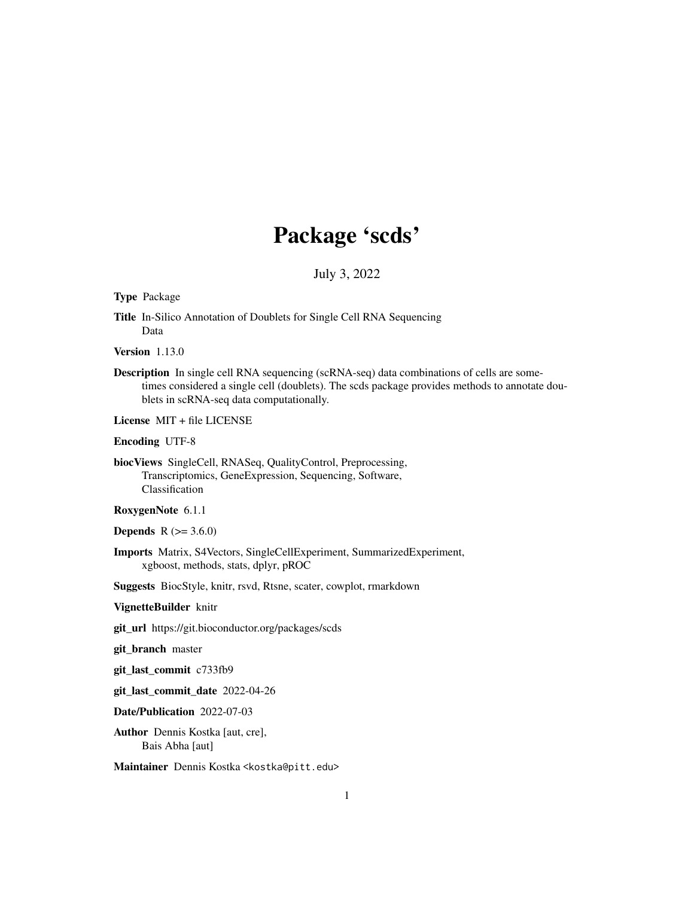## Package 'scds'

July 3, 2022

#### Type Package

Title In-Silico Annotation of Doublets for Single Cell RNA Sequencing Data

Version 1.13.0

Description In single cell RNA sequencing (scRNA-seq) data combinations of cells are sometimes considered a single cell (doublets). The scds package provides methods to annotate doublets in scRNA-seq data computationally.

License MIT + file LICENSE

#### Encoding UTF-8

biocViews SingleCell, RNASeq, QualityControl, Preprocessing, Transcriptomics, GeneExpression, Sequencing, Software, Classification

#### RoxygenNote 6.1.1

**Depends**  $R (= 3.6.0)$ 

Imports Matrix, S4Vectors, SingleCellExperiment, SummarizedExperiment, xgboost, methods, stats, dplyr, pROC

Suggests BiocStyle, knitr, rsvd, Rtsne, scater, cowplot, rmarkdown

#### VignetteBuilder knitr

git\_url https://git.bioconductor.org/packages/scds

git\_branch master

git\_last\_commit c733fb9

git\_last\_commit\_date 2022-04-26

Date/Publication 2022-07-03

Author Dennis Kostka [aut, cre], Bais Abha [aut]

Maintainer Dennis Kostka <kostka@pitt.edu>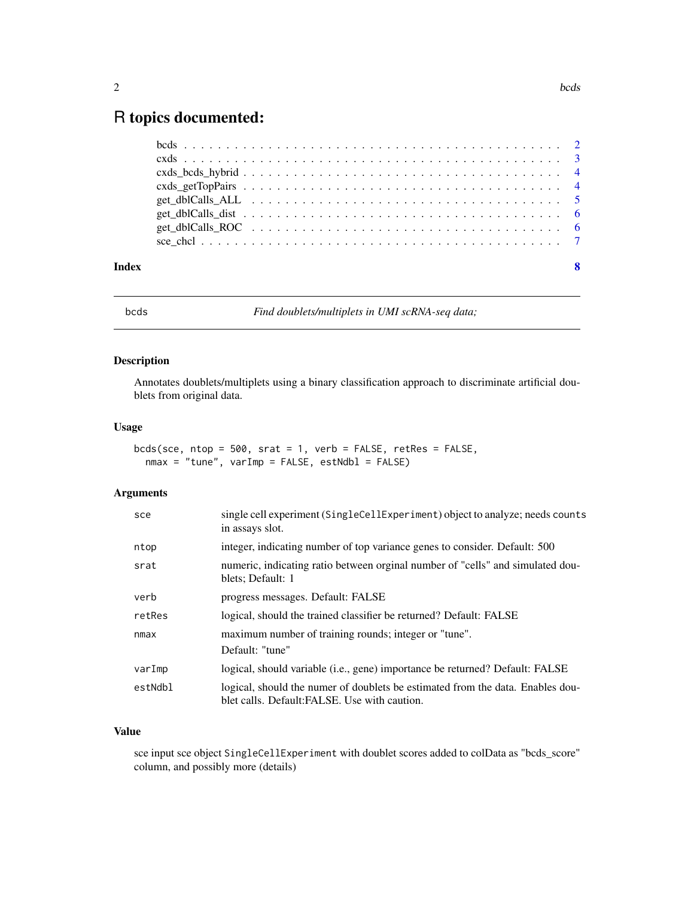### <span id="page-1-0"></span>R topics documented:

|       | get dblCalls ROC $\ldots \ldots \ldots \ldots \ldots \ldots \ldots \ldots \ldots \ldots \ldots \ldots \ldots$ |  |  |  |                         |
|-------|---------------------------------------------------------------------------------------------------------------|--|--|--|-------------------------|
|       |                                                                                                               |  |  |  |                         |
|       |                                                                                                               |  |  |  |                         |
| Index |                                                                                                               |  |  |  | $\overline{\mathbf{8}}$ |

bcds *Find doublets/multiplets in UMI scRNA-seq data;*

#### Description

Annotates doublets/multiplets using a binary classification approach to discriminate artificial doublets from original data.

#### Usage

bcds(sce,  $ntop = 500$ ,  $srat = 1$ ,  $verb = FALSE$ ,  $retRes = FALSE$ ,  $nmax = "tune", varImp = FALSE, estNdbl = FALSE)$ 

#### Arguments

| sce     | single cell experiment (SingleCellExperiment) object to analyze; needs counts<br>in assays slot.                                |
|---------|---------------------------------------------------------------------------------------------------------------------------------|
| ntop    | integer, indicating number of top variance genes to consider. Default: 500                                                      |
| srat    | numeric, indicating ratio between orginal number of "cells" and simulated dou-<br>blets; Default: 1                             |
| verb    | progress messages. Default: FALSE                                                                                               |
| retRes  | logical, should the trained classifier be returned? Default: FALSE                                                              |
| nmax    | maximum number of training rounds; integer or "tune".<br>Default: "tune"                                                        |
| varImp  | logical, should variable (i.e., gene) importance be returned? Default: FALSE                                                    |
| estNdbl | logical, should the numer of doublets be estimated from the data. Enables dou-<br>blet calls. Default: FALSE. Use with caution. |

#### Value

sce input sce object SingleCellExperiment with doublet scores added to colData as "bcds\_score" column, and possibly more (details)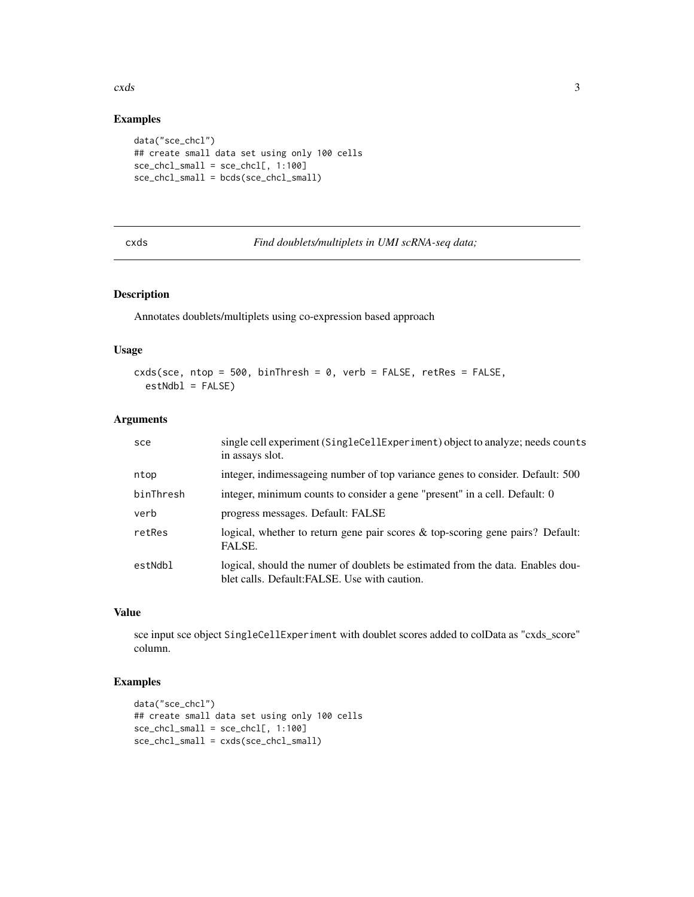#### <span id="page-2-0"></span>cxds 3

#### Examples

```
data("sce_chcl")
## create small data set using only 100 cells
sce_chcl_small = sce_chcl[, 1:100]
sce_chcl_small = bcds(sce_chcl_small)
```
cxds *Find doublets/multiplets in UMI scRNA-seq data;*

#### Description

Annotates doublets/multiplets using co-expression based approach

#### Usage

```
cxds(sce, ntop = 500, binThresh = 0, verb = FALSE, retRes = FALSE,
  estNdb1 = FALSE)
```
#### Arguments

| sce       | single cell experiment (SingleCellExperiment) object to analyze; needs counts<br>in assays slot.                                |
|-----------|---------------------------------------------------------------------------------------------------------------------------------|
| ntop      | integer, indimessageing number of top variance genes to consider. Default: 500                                                  |
| binThresh | integer, minimum counts to consider a gene "present" in a cell. Default: 0                                                      |
| verb      | progress messages. Default: FALSE                                                                                               |
| retRes    | logical, whether to return gene pair scores $\&$ top-scoring gene pairs? Default:<br>FALSE.                                     |
| estNdbl   | logical, should the numer of doublets be estimated from the data. Enables dou-<br>blet calls. Default: FALSE. Use with caution. |

#### Value

sce input sce object SingleCellExperiment with doublet scores added to colData as "cxds\_score" column.

#### Examples

```
data("sce_chcl")
## create small data set using only 100 cells
sec_{\text{chcl}} \text{small} = sec_{\text{chcl}} \text{[}, 1:100]
sce_chcl_small = cxds(sce_chcl_small)
```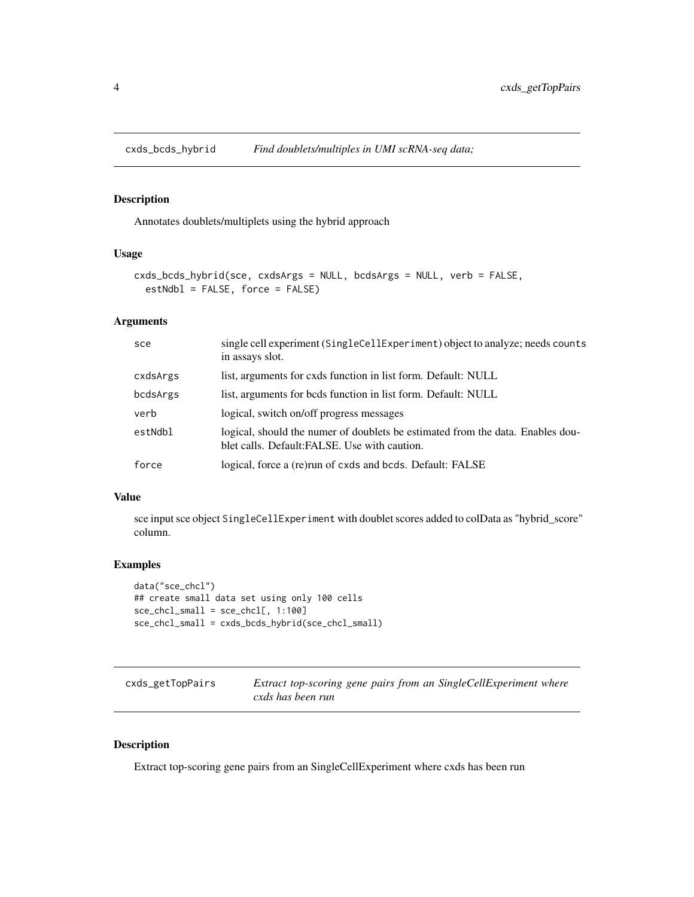<span id="page-3-0"></span>

#### Description

Annotates doublets/multiplets using the hybrid approach

#### Usage

```
cxds_bcds_hybrid(sce, cxdsArgs = NULL, bcdsArgs = NULL, verb = FALSE,
 estNdbl = FALSE, force = FALSE)
```
#### Arguments

| sce      | single cell experiment (SingleCellExperiment) object to analyze; needs counts<br>in assays slot.                                |
|----------|---------------------------------------------------------------------------------------------------------------------------------|
| cxdsArgs | list, arguments for cxds function in list form. Default: NULL                                                                   |
| bcdsArgs | list, arguments for bods function in list form. Default: NULL                                                                   |
| verb     | logical, switch on/off progress messages                                                                                        |
| estNdbl  | logical, should the numer of doublets be estimated from the data. Enables dou-<br>blet calls. Default: FALSE. Use with caution. |
| force    | logical, force a (re)run of cxds and bcds. Default: FALSE                                                                       |

#### Value

sce input sce object SingleCellExperiment with doublet scores added to colData as "hybrid\_score" column.

#### Examples

```
data("sce_chcl")
## create small data set using only 100 cells
sce_chcl_small = sce_chcl[, 1:100]
sce_chcl_small = cxds_bcds_hybrid(sce_chcl_small)
```

| cxds_getTopPairs | Extract top-scoring gene pairs from an SingleCellExperiment where |
|------------------|-------------------------------------------------------------------|
|                  | cxds has been run                                                 |

#### Description

Extract top-scoring gene pairs from an SingleCellExperiment where cxds has been run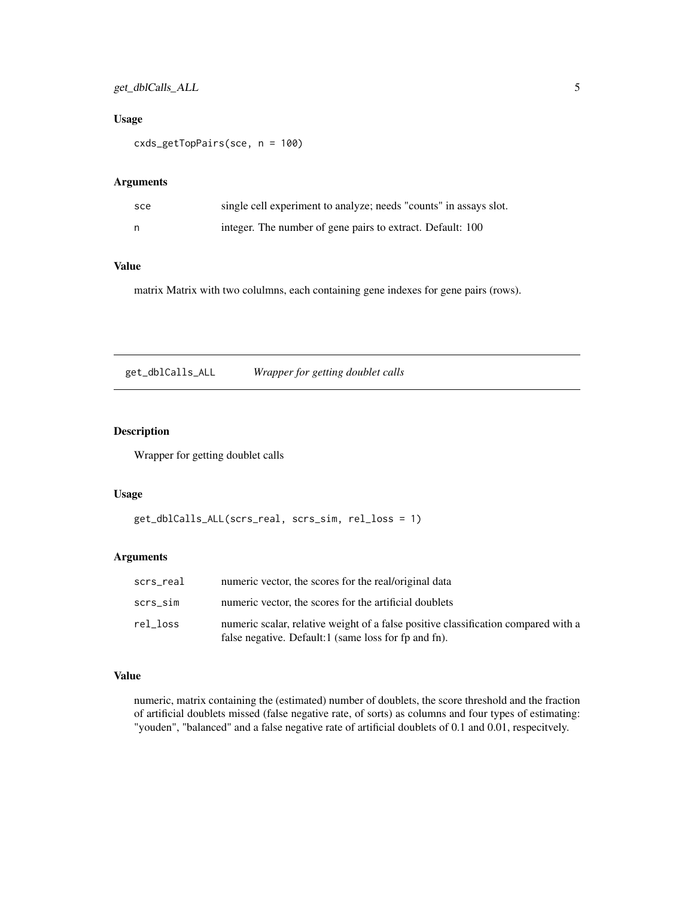#### <span id="page-4-0"></span>Usage

cxds\_getTopPairs(sce, n = 100)

#### Arguments

| sce | single cell experiment to analyze; needs "counts" in assays slot. |
|-----|-------------------------------------------------------------------|
| n   | integer. The number of gene pairs to extract. Default: 100        |

#### Value

matrix Matrix with two colulmns, each containing gene indexes for gene pairs (rows).

get\_dblCalls\_ALL *Wrapper for getting doublet calls*

#### Description

Wrapper for getting doublet calls

#### Usage

```
get_dblCalls_ALL(scrs_real, scrs_sim, rel_loss = 1)
```
#### Arguments

| scrs real | numeric vector, the scores for the real/original data                                                                                      |
|-----------|--------------------------------------------------------------------------------------------------------------------------------------------|
| scrs sim  | numeric vector, the scores for the artificial doublets                                                                                     |
| rel loss  | numeric scalar, relative weight of a false positive classification compared with a<br>false negative. Default:1 (same loss for fp and fn). |

#### Value

numeric, matrix containing the (estimated) number of doublets, the score threshold and the fraction of artificial doublets missed (false negative rate, of sorts) as columns and four types of estimating: "youden", "balanced" and a false negative rate of artificial doublets of 0.1 and 0.01, respecitvely.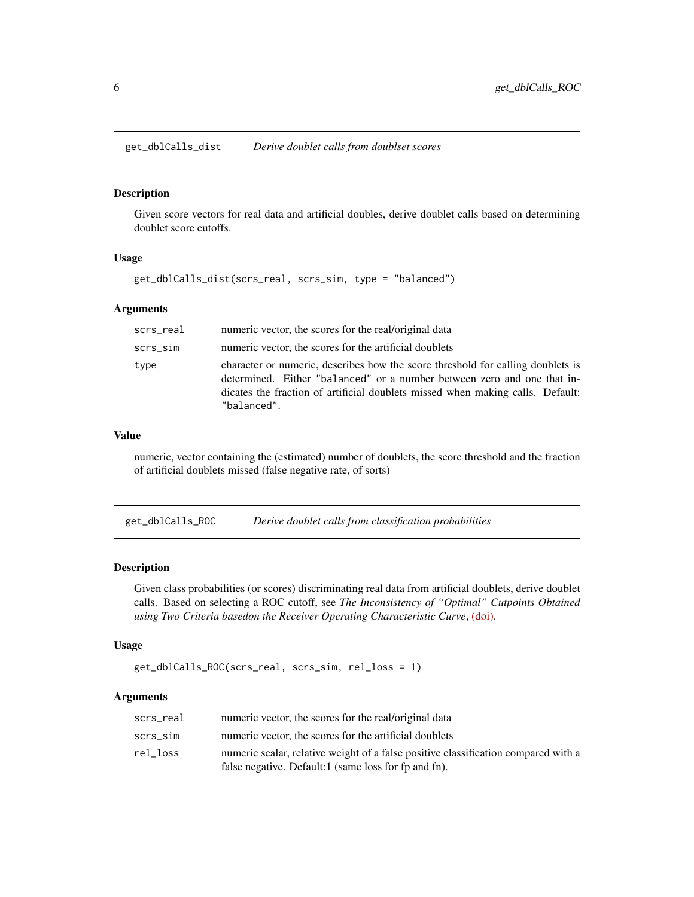<span id="page-5-0"></span>get\_dblCalls\_dist *Derive doublet calls from doublset scores*

#### Description

Given score vectors for real data and artificial doubles, derive doublet calls based on determining doublet score cutoffs.

#### Usage

get\_dblCalls\_dist(scrs\_real, scrs\_sim, type = "balanced")

#### Arguments

| scrs_real | numeric vector, the scores for the real/original data                                                                                                                                                                                                       |
|-----------|-------------------------------------------------------------------------------------------------------------------------------------------------------------------------------------------------------------------------------------------------------------|
| scrs_sim  | numeric vector, the scores for the artificial doublets                                                                                                                                                                                                      |
| type      | character or numeric, describes how the score threshold for calling doublets is<br>determined. Either "balanced" or a number between zero and one that in-<br>dicates the fraction of artificial doublets missed when making calls. Default:<br>"balanced". |

#### Value

numeric, vector containing the (estimated) number of doublets, the score threshold and the fraction of artificial doublets missed (false negative rate, of sorts)

get\_dblCalls\_ROC *Derive doublet calls from classification probabilities*

#### Description

Given class probabilities (or scores) discriminating real data from artificial doublets, derive doublet calls. Based on selecting a ROC cutoff, see *The Inconsistency of "Optimal" Cutpoints Obtained using Two Criteria basedon the Receiver Operating Characteristic Curve*, [\(doi\).](https://dx.doi.org/10.1093/aje/kwj063)

#### Usage

```
get_dblCalls_ROC(scrs_real, scrs_sim, rel_loss = 1)
```
#### Arguments

| scrs real | numeric vector, the scores for the real/original data                              |
|-----------|------------------------------------------------------------------------------------|
| scrs sim  | numeric vector, the scores for the artificial doublets                             |
| rel loss  | numeric scalar, relative weight of a false positive classification compared with a |
|           | false negative. Default:1 (same loss for fp and fn).                               |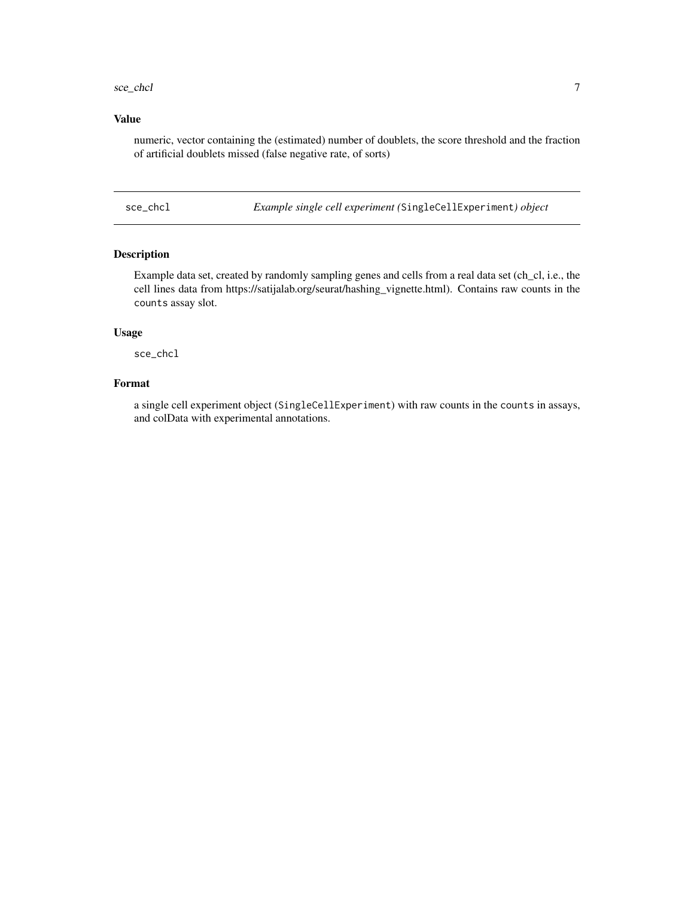#### <span id="page-6-0"></span>sce\_chcl 7

#### Value

numeric, vector containing the (estimated) number of doublets, the score threshold and the fraction of artificial doublets missed (false negative rate, of sorts)

sce\_chcl *Example single cell experiment (*SingleCellExperiment*) object*

#### Description

Example data set, created by randomly sampling genes and cells from a real data set (ch\_cl, i.e., the cell lines data from https://satijalab.org/seurat/hashing\_vignette.html). Contains raw counts in the counts assay slot.

#### Usage

sce\_chcl

#### Format

a single cell experiment object (SingleCellExperiment) with raw counts in the counts in assays, and colData with experimental annotations.